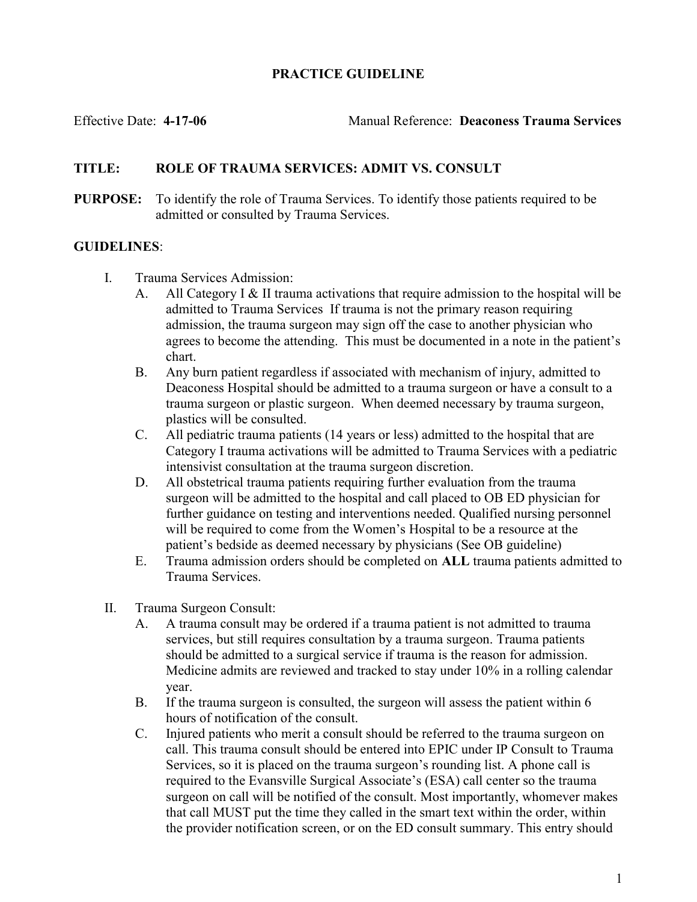## PRACTICE GUIDELINE

Effective Date: 4-17-06 Manual Reference: Deaconess Trauma Services

## TITLE: ROLE OF TRAUMA SERVICES: ADMIT VS. CONSULT

PURPOSE: To identify the role of Trauma Services. To identify those patients required to be admitted or consulted by Trauma Services.

## GUIDELINES:

- I. Trauma Services Admission:
	- A. All Category I  $\&$  II trauma activations that require admission to the hospital will be admitted to Trauma Services If trauma is not the primary reason requiring admission, the trauma surgeon may sign off the case to another physician who agrees to become the attending. This must be documented in a note in the patient's chart.
	- B. Any burn patient regardless if associated with mechanism of injury, admitted to Deaconess Hospital should be admitted to a trauma surgeon or have a consult to a trauma surgeon or plastic surgeon. When deemed necessary by trauma surgeon, plastics will be consulted.
	- C. All pediatric trauma patients (14 years or less) admitted to the hospital that are Category I trauma activations will be admitted to Trauma Services with a pediatric intensivist consultation at the trauma surgeon discretion.
	- D. All obstetrical trauma patients requiring further evaluation from the trauma surgeon will be admitted to the hospital and call placed to OB ED physician for further guidance on testing and interventions needed. Qualified nursing personnel will be required to come from the Women's Hospital to be a resource at the patient's bedside as deemed necessary by physicians (See OB guideline)
	- E. Trauma admission orders should be completed on ALL trauma patients admitted to Trauma Services.
- II. Trauma Surgeon Consult:
	- A. A trauma consult may be ordered if a trauma patient is not admitted to trauma services, but still requires consultation by a trauma surgeon. Trauma patients should be admitted to a surgical service if trauma is the reason for admission. Medicine admits are reviewed and tracked to stay under 10% in a rolling calendar year.
	- B. If the trauma surgeon is consulted, the surgeon will assess the patient within 6 hours of notification of the consult.
	- C. Injured patients who merit a consult should be referred to the trauma surgeon on call. This trauma consult should be entered into EPIC under IP Consult to Trauma Services, so it is placed on the trauma surgeon's rounding list. A phone call is required to the Evansville Surgical Associate's (ESA) call center so the trauma surgeon on call will be notified of the consult. Most importantly, whomever makes that call MUST put the time they called in the smart text within the order, within the provider notification screen, or on the ED consult summary. This entry should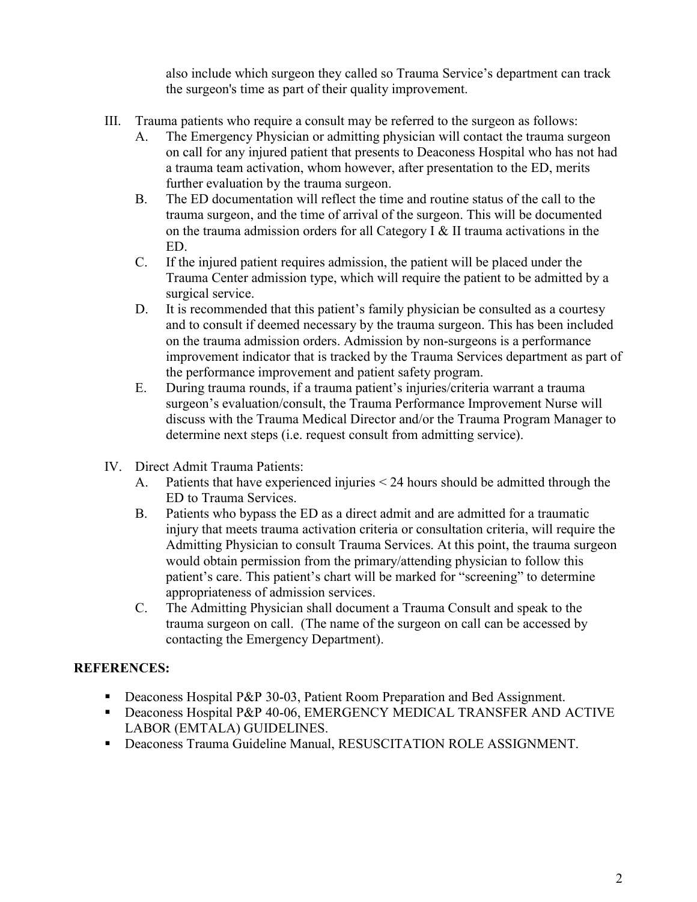also include which surgeon they called so Trauma Service's department can track the surgeon's time as part of their quality improvement.

- III. Trauma patients who require a consult may be referred to the surgeon as follows:
	- A. The Emergency Physician or admitting physician will contact the trauma surgeon on call for any injured patient that presents to Deaconess Hospital who has not had a trauma team activation, whom however, after presentation to the ED, merits further evaluation by the trauma surgeon.
	- B. The ED documentation will reflect the time and routine status of the call to the trauma surgeon, and the time of arrival of the surgeon. This will be documented on the trauma admission orders for all Category I  $&$  II trauma activations in the ED.
	- C. If the injured patient requires admission, the patient will be placed under the Trauma Center admission type, which will require the patient to be admitted by a surgical service.
	- D. It is recommended that this patient's family physician be consulted as a courtesy and to consult if deemed necessary by the trauma surgeon. This has been included on the trauma admission orders. Admission by non-surgeons is a performance improvement indicator that is tracked by the Trauma Services department as part of the performance improvement and patient safety program.
	- E. During trauma rounds, if a trauma patient's injuries/criteria warrant a trauma surgeon's evaluation/consult, the Trauma Performance Improvement Nurse will discuss with the Trauma Medical Director and/or the Trauma Program Manager to determine next steps (i.e. request consult from admitting service).
- IV. Direct Admit Trauma Patients:
	- A. Patients that have experienced injuries < 24 hours should be admitted through the ED to Trauma Services.
	- B. Patients who bypass the ED as a direct admit and are admitted for a traumatic injury that meets trauma activation criteria or consultation criteria, will require the Admitting Physician to consult Trauma Services. At this point, the trauma surgeon would obtain permission from the primary/attending physician to follow this patient's care. This patient's chart will be marked for "screening" to determine appropriateness of admission services.
	- C. The Admitting Physician shall document a Trauma Consult and speak to the trauma surgeon on call. (The name of the surgeon on call can be accessed by contacting the Emergency Department).

## REFERENCES:

- **Deaconess Hospital P&P 30-03, Patient Room Preparation and Bed Assignment.**
- **Deaconess Hospital P&P 40-06, EMERGENCY MEDICAL TRANSFER AND ACTIVE** LABOR (EMTALA) GUIDELINES.
- Deaconess Trauma Guideline Manual, RESUSCITATION ROLE ASSIGNMENT.